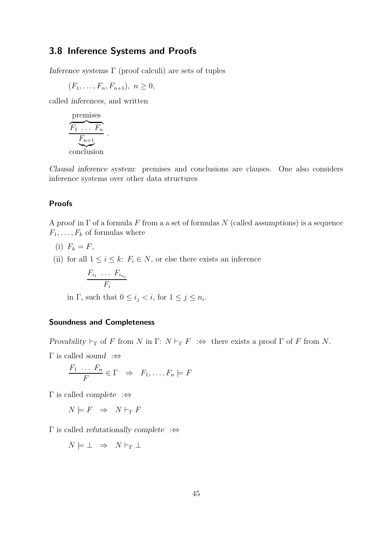# 3.8 Inference Systems and Proofs

Inference systems  $\Gamma$  (proof calculi) are sets of tuples

 $(F_1, \ldots, F_n, F_{n+1}), n \geq 0,$ 

.

called inferences, and written

$$
\underbrace{F_1 \dots F_n}_{\text{Conclusion}}
$$

Clausal inference system: premises and conclusions are clauses. One also considers inference systems over other data structures

### Proofs

A proof in  $\Gamma$  of a formula F from a a set of formulas N (called assumptions) is a sequence  $F_1, \ldots, F_k$  of formulas where

- (i)  $F_k = F$ ,
- (ii) for all  $1 \leq i \leq k$ :  $F_i \in N$ , or else there exists an inference

$$
\frac{F_{i_1} \ldots F_{i_{n_i}}}{F_i}
$$

in  $\Gamma$ , such that  $0 \leq i_j < i$ , for  $1 \leq j \leq n_i$ .

### Soundness and Completeness

Provability  $\vdash_{\Gamma}$  of F from N in  $\Gamma: N \vdash_{\Gamma} F : \Leftrightarrow$  there exists a proof  $\Gamma$  of F from N.

 $Γ$  is called *sound* :⇔

$$
\frac{F_1 \ldots F_n}{F} \in \Gamma \Rightarrow F_1, \ldots, F_n \models F
$$

 $Γ$  is called *complete*  $\Rightarrow$ 

 $N \models F \Rightarrow N \vdash_{\Gamma} F$ 

 $Γ$  is called *refutationally complete* :⇔

$$
N \models \bot \;\; \Rightarrow \;\; N \vdash_{\Gamma} \bot
$$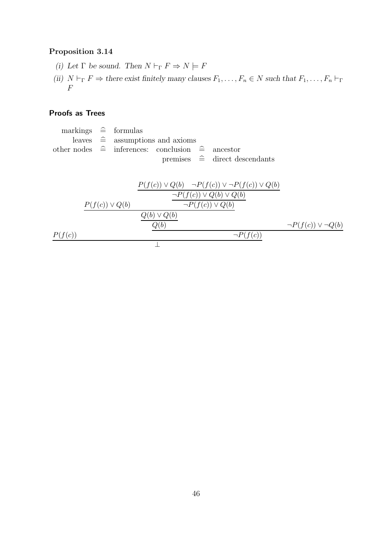# Proposition 3.14

- (i) Let  $\Gamma$  be sound. Then  $N\vdash_\Gamma F\Rightarrow N\models F$
- (ii)  $N \vdash_{\Gamma} F \Rightarrow$  there exist finitely many clauses  $F_1, \ldots, F_n \in N$  such that  $F_1, \ldots, F_n \vdash_{\Gamma}$  $\,F$

## Proofs as Trees

markings  $\hat{=}$  formulas leaves  $\hat{=}$  assumptions and axioms other nodes  $\hat{=}$  inferences: conclusion  $\hat{=}$  ancestor<br>premises  $\hat{=}$  direct de  $direct$  descendants  $% \left( \delta \rho _{0}\right) =\delta \rho _{0}$ 

$$
\frac{P(f(c)) \vee Q(b) \longrightarrow P(f(c)) \vee \neg P(f(c)) \vee Q(b)}{\neg P(f(c)) \vee Q(b) \vee Q(b)} \frac{\neg P(f(c)) \vee Q(b) \vee Q(b)}{\neg P(f(c)) \vee Q(b)} \longrightarrow P(f(c)) \vee \neg P(f(c)) \vee \neg P(f(c)) \vee \neg P(f(c)) \vee \neg P(f(c)) \vee \neg P(f(c)) \vee \neg P(f(c)) \vee \neg P(f(c)) \vee \neg P(f(c)) \vee \neg P(f(c)) \vee \neg P(f(c)) \vee \neg P(f(c)) \vee \neg P(f(c)) \vee \neg P(f(c)) \vee \neg P(f(c)) \vee \neg P(f(c)) \vee \neg P(f(c)) \vee \neg P(f(c)) \vee \neg P(f(c)) \vee \neg P(f(c)) \vee \neg P(f(c)) \vee \neg P(f(c)) \vee \neg P(f(c)) \vee \neg P(f(c)) \vee \neg P(f(c)) \vee \neg P(f(c)) \vee \neg P(f(c)) \vee \neg P(f(c)) \vee \neg P(f(c)) \vee \neg P(f(c)) \vee \neg P(f(c)) \vee \neg P(f(c)) \vee \neg P(f(c)) \vee \neg P(f(c)) \vee \neg P(f(c)) \vee \neg P(f(c)) \vee \neg P(f(c)) \vee \neg P(f(c)) \vee \neg P(f(c)) \vee \neg P(f(c)) \vee \neg P(f(c)) \vee \neg P(f(c)) \vee \neg P(f(c)) \vee \neg P(f(c)) \vee \neg P(f(c)) \vee \neg P(f(c)) \vee \neg P(f(c)) \vee \neg P(f(c)) \vee \neg P(f(c)) \vee \neg P(f(c)) \vee \neg P(f(c)) \vee \neg P(f(c)) \vee \neg P(f(c)) \vee \neg P(f(c)) \vee \neg P(f(c)) \vee \neg P(f(c)) \vee \neg P(f(c)) \vee \neg P(f(c)) \vee \neg P(f(c)) \vee \neg P(f(c)) \vee \neg P(f(c)) \vee \neg P(f(c)) \vee \neg P(f(c)) \vee \neg P(f(c)) \vee \neg P(f(c)) \vee \neg P(f(c)) \vee \neg P(f(c)) \vee \neg P(f(c)) \vee \neg P(f(c)) \vee \neg P(f(c)) \vee \neg P(f(c)) \vee \neg P(f(c)) \vee \neg P(f(c)) \vee \neg P(f(c)) \vee \neg P(f(c)) \vee \
$$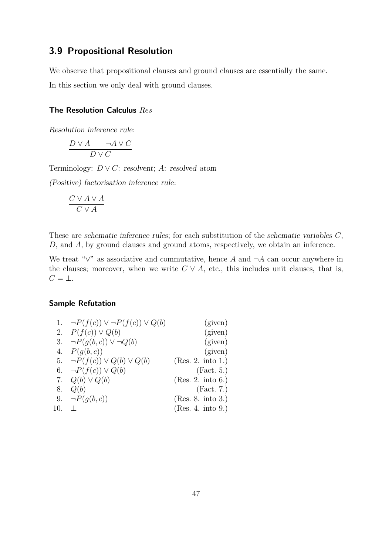# 3.9 Propositional Resolution

We observe that propositional clauses and ground clauses are essentially the same. In this section we only deal with ground clauses.

### The Resolution Calculus Res

Resolution inference rule:

$$
\frac{D \lor A \qquad \neg A \lor C}{D \lor C}
$$

Terminology:  $D \vee C$ : resolvent; A: resolved atom

(Positive) factorisation inference rule:

$$
\frac{C\vee A\vee A}{C\vee A}
$$

These are schematic inference rules; for each substitution of the schematic variables C, D, and A, by ground clauses and ground atoms, respectively, we obtain an inference.

We treat " $\vee$ " as associative and commutative, hence A and  $\neg A$  can occur anywhere in the clauses; moreover, when we write  $C \vee A$ , etc., this includes unit clauses, that is,  $C = \perp$ .

### Sample Refutation

|     | 1. $\neg P(f(c)) \vee \neg P(f(c)) \vee Q(b)$ | (given)           |
|-----|-----------------------------------------------|-------------------|
|     | 2. $P(f(c)) \vee Q(b)$                        | (given)           |
|     | 3. $\neg P(q(b, c)) \vee \neg Q(b)$           | (given)           |
|     | 4. $P(g(b, c))$                               | (given)           |
|     | 5. $\neg P(f(c)) \vee Q(b) \vee Q(b)$         | (Res. 2. into 1.) |
|     | 6. $\neg P(f(c)) \vee Q(b)$                   | (Fact. 5.)        |
|     | 7. $Q(b) \vee Q(b)$                           | (Res. 2. into 6.) |
| 8.  | Q(b)                                          | (Fact. 7.)        |
|     | 9. $\neg P(q(b, c))$                          | (Res. 8. into 3.) |
| 10. |                                               | (Res. 4. into 9.) |
|     |                                               |                   |